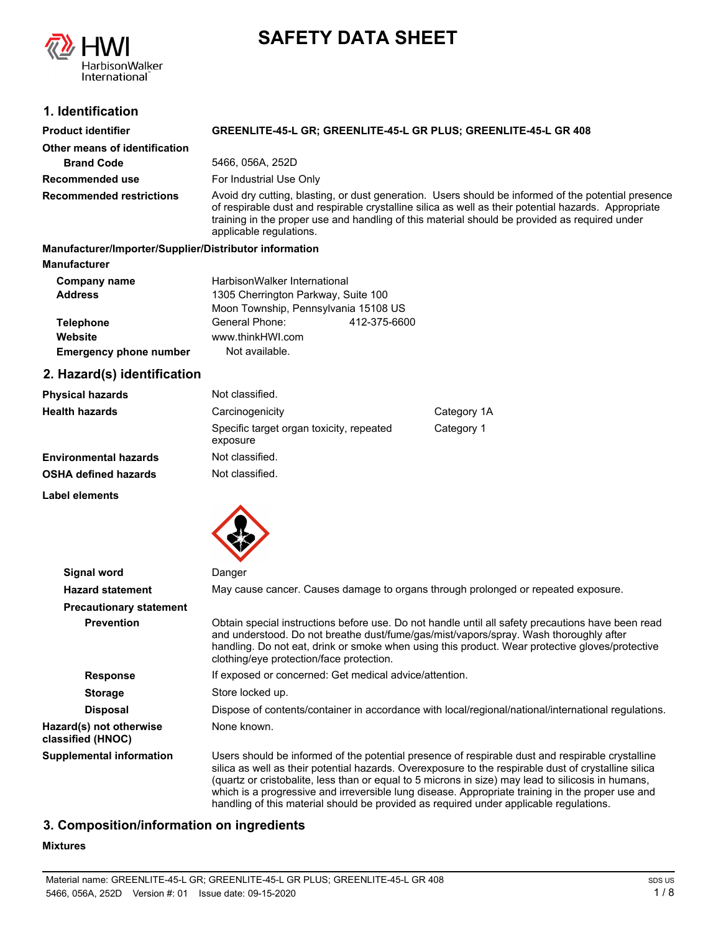# **SAFETY DATA SHEET**



# **1. Identification**

| <b>Product identifier</b>       | GREENLITE-45-L GR; GREENLITE-45-L GR PLUS; GREENLITE-45-L GR 408                                                                                                                                                                                                                                                                        |  |
|---------------------------------|-----------------------------------------------------------------------------------------------------------------------------------------------------------------------------------------------------------------------------------------------------------------------------------------------------------------------------------------|--|
| Other means of identification   |                                                                                                                                                                                                                                                                                                                                         |  |
| <b>Brand Code</b>               | 5466, 056A, 252D                                                                                                                                                                                                                                                                                                                        |  |
| Recommended use                 | For Industrial Use Only                                                                                                                                                                                                                                                                                                                 |  |
| <b>Recommended restrictions</b> | Avoid dry cutting, blasting, or dust generation. Users should be informed of the potential presence<br>of respirable dust and respirable crystalline silica as well as their potential hazards. Appropriate<br>training in the proper use and handling of this material should be provided as required under<br>applicable regulations. |  |

**Manufacturer/Importer/Supplier/Distributor information Manufacturer Telephone** General Phone: 412-375-6600 Moon Township, Pennsylvania 15108 US HarbisonWalker International **Address** 1305 Cherrington Parkway, Suite 100 **Company name Website** www.thinkHWI.com

**Emergency phone number** Not available.

# **2. Hazard(s) identification**

| <b>Physical hazards</b>      | Not classified.                                      |            |
|------------------------------|------------------------------------------------------|------------|
| <b>Health hazards</b>        | Carcinogenicity<br>Category 1A                       |            |
|                              | Specific target organ toxicity, repeated<br>exposure | Category 1 |
| <b>Environmental hazards</b> | Not classified.                                      |            |
| <b>OSHA defined hazards</b>  | Not classified.                                      |            |
| Label elements               |                                                      |            |



| Signal word                                  | Danger                                                                                                                                                                                                                                                                                                                                                                                                                                                                                                       |  |  |
|----------------------------------------------|--------------------------------------------------------------------------------------------------------------------------------------------------------------------------------------------------------------------------------------------------------------------------------------------------------------------------------------------------------------------------------------------------------------------------------------------------------------------------------------------------------------|--|--|
| <b>Hazard statement</b>                      | May cause cancer. Causes damage to organs through prolonged or repeated exposure.                                                                                                                                                                                                                                                                                                                                                                                                                            |  |  |
| <b>Precautionary statement</b>               |                                                                                                                                                                                                                                                                                                                                                                                                                                                                                                              |  |  |
| <b>Prevention</b>                            | Obtain special instructions before use. Do not handle until all safety precautions have been read<br>and understood. Do not breathe dust/fume/gas/mist/vapors/spray. Wash thoroughly after<br>handling. Do not eat, drink or smoke when using this product. Wear protective gloves/protective<br>clothing/eye protection/face protection.                                                                                                                                                                    |  |  |
| <b>Response</b>                              | If exposed or concerned: Get medical advice/attention.                                                                                                                                                                                                                                                                                                                                                                                                                                                       |  |  |
| <b>Storage</b>                               | Store locked up.                                                                                                                                                                                                                                                                                                                                                                                                                                                                                             |  |  |
| <b>Disposal</b>                              | Dispose of contents/container in accordance with local/regional/national/international regulations.                                                                                                                                                                                                                                                                                                                                                                                                          |  |  |
| Hazard(s) not otherwise<br>classified (HNOC) | None known.                                                                                                                                                                                                                                                                                                                                                                                                                                                                                                  |  |  |
| <b>Supplemental information</b>              | Users should be informed of the potential presence of respirable dust and respirable crystalline<br>silica as well as their potential hazards. Overexposure to the respirable dust of crystalline silica<br>(quartz or cristobalite, less than or equal to 5 microns in size) may lead to silicosis in humans,<br>which is a progressive and irreversible lung disease. Appropriate training in the proper use and<br>handling of this material should be provided as required under applicable regulations. |  |  |

# **3. Composition/information on ingredients**

# **Mixtures**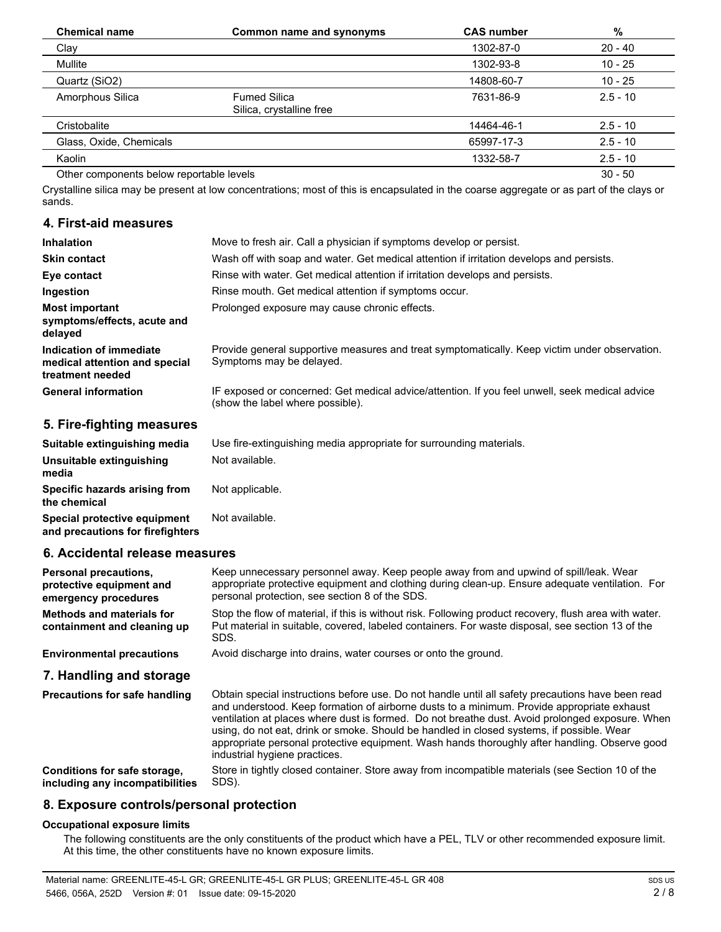| <b>Chemical name</b>                     | Common name and synonyms                        | <b>CAS number</b> | %          |
|------------------------------------------|-------------------------------------------------|-------------------|------------|
| Clay                                     |                                                 | 1302-87-0         | $20 - 40$  |
| Mullite                                  |                                                 | 1302-93-8         | $10 - 25$  |
| Quartz (SiO2)                            |                                                 | 14808-60-7        | $10 - 25$  |
| Amorphous Silica                         | <b>Fumed Silica</b><br>Silica, crystalline free | 7631-86-9         | $2.5 - 10$ |
| Cristobalite                             |                                                 | 14464-46-1        | $2.5 - 10$ |
| Glass, Oxide, Chemicals                  |                                                 | 65997-17-3        | $2.5 - 10$ |
| Kaolin                                   |                                                 | 1332-58-7         | $2.5 - 10$ |
| Other components below reportable levels |                                                 |                   | $30 - 50$  |

Crystalline silica may be present at low concentrations; most of this is encapsulated in the coarse aggregate or as part of the clays or sands.

### **4. First-aid measures**

| <b>Inhalation</b>                                                            | Move to fresh air. Call a physician if symptoms develop or persist.                                                                |
|------------------------------------------------------------------------------|------------------------------------------------------------------------------------------------------------------------------------|
| <b>Skin contact</b>                                                          | Wash off with soap and water. Get medical attention if irritation develops and persists.                                           |
| Eye contact                                                                  | Rinse with water. Get medical attention if irritation develops and persists.                                                       |
| Ingestion                                                                    | Rinse mouth. Get medical attention if symptoms occur.                                                                              |
| Most important<br>symptoms/effects, acute and<br>delayed                     | Prolonged exposure may cause chronic effects.                                                                                      |
| Indication of immediate<br>medical attention and special<br>treatment needed | Provide general supportive measures and treat symptomatically. Keep victim under observation.<br>Symptoms may be delayed.          |
| <b>General information</b>                                                   | IF exposed or concerned: Get medical advice/attention. If you feel unwell, seek medical advice<br>(show the label where possible). |
| 5. Fire-fighting measures                                                    |                                                                                                                                    |

| Suitable extinguishing media                                     | Use fire-extinguishing media appropriate for surrounding materials. |
|------------------------------------------------------------------|---------------------------------------------------------------------|
| Unsuitable extinguishing<br>media                                | Not available.                                                      |
| Specific hazards arising from<br>the chemical                    | Not applicable.                                                     |
| Special protective equipment<br>and precautions for firefighters | Not available.                                                      |
| 6. Accidental release measures                                   |                                                                     |

### **6. Accidental release measures**

| <b>Personal precautions.</b><br>protective equipment and<br>emergency procedures | Keep unnecessary personnel away. Keep people away from and upwind of spill/leak. Wear<br>appropriate protective equipment and clothing during clean-up. Ensure adequate ventilation. For<br>personal protection, see section 8 of the SDS. |
|----------------------------------------------------------------------------------|--------------------------------------------------------------------------------------------------------------------------------------------------------------------------------------------------------------------------------------------|
| <b>Methods and materials for</b><br>containment and cleaning up                  | Stop the flow of material, if this is without risk. Following product recovery, flush area with water.<br>Put material in suitable, covered, labeled containers. For waste disposal, see section 13 of the<br>SDS.                         |
| <b>Environmental precautions</b>                                                 | Avoid discharge into drains, water courses or onto the ground.                                                                                                                                                                             |
| 7. Handling and storage                                                          |                                                                                                                                                                                                                                            |
|                                                                                  |                                                                                                                                                                                                                                            |

Obtain special instructions before use. Do not handle until all safety precautions have been read and understood. Keep formation of airborne dusts to a minimum. Provide appropriate exhaust ventilation at places where dust is formed. Do not breathe dust. Avoid prolonged exposure. When using, do not eat, drink or smoke. Should be handled in closed systems, if possible. Wear appropriate personal protective equipment. Wash hands thoroughly after handling. Observe good industrial hygiene practices. **Precautions for safe handling** Store in tightly closed container. Store away from incompatible materials (see Section 10 of the SDS). **Conditions for safe storage, including any incompatibilities**

# **8. Exposure controls/personal protection**

### **Occupational exposure limits**

The following constituents are the only constituents of the product which have a PEL, TLV or other recommended exposure limit. At this time, the other constituents have no known exposure limits.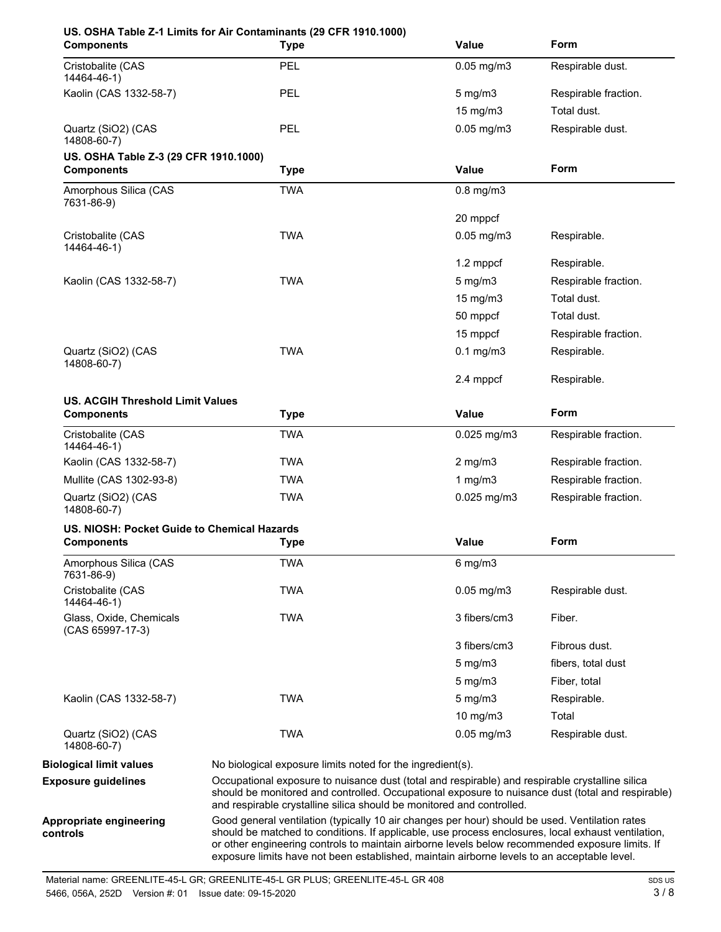| <b>Components</b>                                            | US. OSHA Table Z-1 Limits for Air Contaminants (29 CFR 1910.1000)<br><b>Type</b>                                                                                                                                                                                                                                                                                                                       | <b>Value</b>                                               | Form                 |  |
|--------------------------------------------------------------|--------------------------------------------------------------------------------------------------------------------------------------------------------------------------------------------------------------------------------------------------------------------------------------------------------------------------------------------------------------------------------------------------------|------------------------------------------------------------|----------------------|--|
| Cristobalite (CAS<br>14464-46-1)                             | <b>PEL</b>                                                                                                                                                                                                                                                                                                                                                                                             | $0.05$ mg/m $3$                                            | Respirable dust.     |  |
| Kaolin (CAS 1332-58-7)                                       | PEL                                                                                                                                                                                                                                                                                                                                                                                                    | $5$ mg/m $3$                                               | Respirable fraction. |  |
|                                                              |                                                                                                                                                                                                                                                                                                                                                                                                        | $15 \text{ mg/m}$                                          | Total dust.          |  |
| Quartz (SiO2) (CAS<br>14808-60-7)                            | <b>PEL</b>                                                                                                                                                                                                                                                                                                                                                                                             | $0.05$ mg/m $3$                                            | Respirable dust.     |  |
| US. OSHA Table Z-3 (29 CFR 1910.1000)<br><b>Components</b>   | <b>Type</b>                                                                                                                                                                                                                                                                                                                                                                                            | <b>Value</b>                                               | <b>Form</b>          |  |
| Amorphous Silica (CAS<br>7631-86-9)                          | <b>TWA</b>                                                                                                                                                                                                                                                                                                                                                                                             | $0.8$ mg/m $3$                                             |                      |  |
|                                                              |                                                                                                                                                                                                                                                                                                                                                                                                        | 20 mppcf                                                   |                      |  |
| Cristobalite (CAS<br>14464-46-1)                             | <b>TWA</b>                                                                                                                                                                                                                                                                                                                                                                                             | $0.05$ mg/m $3$                                            | Respirable.          |  |
|                                                              |                                                                                                                                                                                                                                                                                                                                                                                                        | 1.2 mppcf                                                  | Respirable.          |  |
| Kaolin (CAS 1332-58-7)                                       | <b>TWA</b>                                                                                                                                                                                                                                                                                                                                                                                             | $5$ mg/m $3$                                               | Respirable fraction. |  |
|                                                              |                                                                                                                                                                                                                                                                                                                                                                                                        | $15 \text{ mg/m}$                                          | Total dust.          |  |
|                                                              |                                                                                                                                                                                                                                                                                                                                                                                                        | 50 mppcf                                                   | Total dust.          |  |
|                                                              |                                                                                                                                                                                                                                                                                                                                                                                                        | 15 mppcf                                                   | Respirable fraction. |  |
| Quartz (SiO2) (CAS<br>14808-60-7)                            | <b>TWA</b>                                                                                                                                                                                                                                                                                                                                                                                             | $0.1$ mg/m $3$                                             | Respirable.          |  |
|                                                              |                                                                                                                                                                                                                                                                                                                                                                                                        | 2.4 mppcf                                                  | Respirable.          |  |
| <b>US. ACGIH Threshold Limit Values</b><br><b>Components</b> | <b>Type</b>                                                                                                                                                                                                                                                                                                                                                                                            | <b>Value</b>                                               | <b>Form</b>          |  |
| Cristobalite (CAS<br>14464-46-1)                             | <b>TWA</b>                                                                                                                                                                                                                                                                                                                                                                                             | $0.025$ mg/m3                                              | Respirable fraction. |  |
| Kaolin (CAS 1332-58-7)                                       | <b>TWA</b>                                                                                                                                                                                                                                                                                                                                                                                             | $2$ mg/m $3$                                               | Respirable fraction. |  |
| Mullite (CAS 1302-93-8)                                      | <b>TWA</b>                                                                                                                                                                                                                                                                                                                                                                                             | 1 $mg/m3$                                                  | Respirable fraction. |  |
| Quartz (SiO2) (CAS<br>14808-60-7)                            | <b>TWA</b>                                                                                                                                                                                                                                                                                                                                                                                             | $0.025$ mg/m $3$                                           | Respirable fraction. |  |
| US. NIOSH: Pocket Guide to Chemical Hazards                  |                                                                                                                                                                                                                                                                                                                                                                                                        |                                                            |                      |  |
| <b>Components</b>                                            | <b>Type</b>                                                                                                                                                                                                                                                                                                                                                                                            | Value                                                      | Form                 |  |
| Amorphous Silica (CAS<br>7631-86-9)                          | <b>TWA</b>                                                                                                                                                                                                                                                                                                                                                                                             | $6$ mg/m $3$                                               |                      |  |
| Cristobalite (CAS<br>14464-46-1)                             | <b>TWA</b>                                                                                                                                                                                                                                                                                                                                                                                             | $0.05$ mg/m $3$                                            | Respirable dust.     |  |
| Glass, Oxide, Chemicals<br>(CAS 65997-17-3)                  | <b>TWA</b>                                                                                                                                                                                                                                                                                                                                                                                             | 3 fibers/cm3                                               | Fiber.               |  |
|                                                              |                                                                                                                                                                                                                                                                                                                                                                                                        | 3 fibers/cm3                                               | Fibrous dust.        |  |
|                                                              |                                                                                                                                                                                                                                                                                                                                                                                                        | 5 mg/m3                                                    | fibers, total dust   |  |
|                                                              |                                                                                                                                                                                                                                                                                                                                                                                                        | 5 mg/m3                                                    | Fiber, total         |  |
| Kaolin (CAS 1332-58-7)                                       | <b>TWA</b>                                                                                                                                                                                                                                                                                                                                                                                             | $5$ mg/m $3$                                               | Respirable.          |  |
|                                                              |                                                                                                                                                                                                                                                                                                                                                                                                        | 10 mg/m3                                                   | Total                |  |
| Quartz (SiO2) (CAS<br>14808-60-7)                            | <b>TWA</b>                                                                                                                                                                                                                                                                                                                                                                                             | $0.05$ mg/m $3$                                            | Respirable dust.     |  |
| <b>Biological limit values</b>                               |                                                                                                                                                                                                                                                                                                                                                                                                        | No biological exposure limits noted for the ingredient(s). |                      |  |
| <b>Exposure guidelines</b>                                   | Occupational exposure to nuisance dust (total and respirable) and respirable crystalline silica<br>should be monitored and controlled. Occupational exposure to nuisance dust (total and respirable)<br>and respirable crystalline silica should be monitored and controlled.                                                                                                                          |                                                            |                      |  |
| Appropriate engineering<br>controls                          | Good general ventilation (typically 10 air changes per hour) should be used. Ventilation rates<br>should be matched to conditions. If applicable, use process enclosures, local exhaust ventilation,<br>or other engineering controls to maintain airborne levels below recommended exposure limits. If<br>exposure limits have not been established, maintain airborne levels to an acceptable level. |                                                            |                      |  |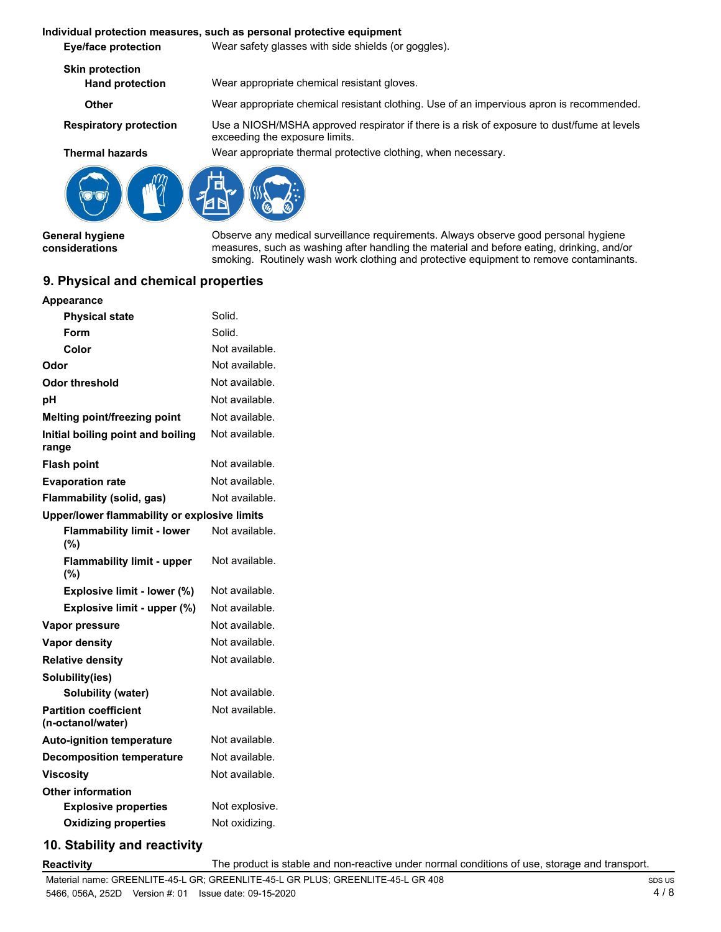### **Individual protection measures, such as personal protective equipment**

**Eye/face protection** Wear safety glasses with side shields (or goggles).

**Skin protection**

**Hand protection** Wear appropriate chemical resistant gloves.

exceeding the exposure limits.

**Other** Wear appropriate chemical resistant clothing. Use of an impervious apron is recommended. Use a NIOSH/MSHA approved respirator if there is a risk of exposure to dust/fume at levels

**Respiratory protection**

**Thermal hazards** Wear appropriate thermal protective clothing, when necessary.



**General hygiene considerations**

**Appearance**

Observe any medical surveillance requirements. Always observe good personal hygiene measures, such as washing after handling the material and before eating, drinking, and/or smoking. Routinely wash work clothing and protective equipment to remove contaminants.

### **9. Physical and chemical properties**

| <b>Physical state</b>                             | Solid.         |
|---------------------------------------------------|----------------|
| Form                                              | Solid.         |
| Color                                             | Not available. |
| Odor                                              | Not available. |
| Odor threshold                                    | Not available. |
| рH                                                | Not available. |
| <b>Melting point/freezing point</b>               | Not available. |
| Initial boiling point and boiling<br>range        | Not available. |
| <b>Flash point</b>                                | Not available. |
| <b>Evaporation rate</b>                           | Not available. |
| Flammability (solid, gas)                         | Not available. |
| Upper/lower flammability or explosive limits      |                |
| <b>Flammability limit - lower</b><br>(%)          | Not available. |
| <b>Flammability limit - upper</b><br>(%)          | Not available. |
| Explosive limit - lower (%)                       | Not available. |
| Explosive limit - upper (%)                       | Not available. |
| Vapor pressure                                    | Not available. |
| <b>Vapor density</b>                              | Not available. |
| <b>Relative density</b>                           | Not available. |
| Solubility(ies)                                   |                |
| <b>Solubility (water)</b>                         | Not available. |
| <b>Partition coefficient</b><br>(n-octanol/water) | Not available. |
| <b>Auto-ignition temperature</b>                  | Not available. |
| <b>Decomposition temperature</b>                  | Not available. |
| <b>Viscosity</b>                                  | Not available. |
| <b>Other information</b>                          |                |
| <b>Explosive properties</b>                       | Not explosive. |
| <b>Oxidizing properties</b>                       | Not oxidizing. |

# **10. Stability and reactivity**

**Reactivity** The product is stable and non-reactive under normal conditions of use, storage and transport.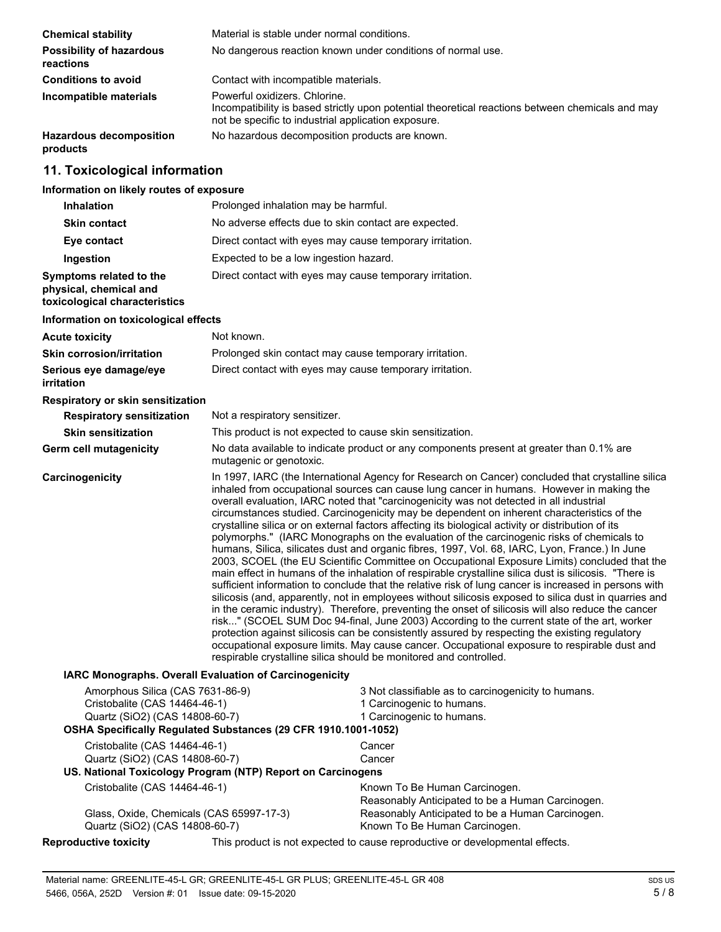| <b>Chemical stability</b>                    | Material is stable under normal conditions.                                                                                                                                              |  |
|----------------------------------------------|------------------------------------------------------------------------------------------------------------------------------------------------------------------------------------------|--|
| <b>Possibility of hazardous</b><br>reactions | No dangerous reaction known under conditions of normal use.                                                                                                                              |  |
| <b>Conditions to avoid</b>                   | Contact with incompatible materials.                                                                                                                                                     |  |
| Incompatible materials                       | Powerful oxidizers. Chlorine.<br>Incompatibility is based strictly upon potential theoretical reactions between chemicals and may<br>not be specific to industrial application exposure. |  |
| <b>Hazardous decomposition</b><br>products   | No hazardous decomposition products are known.                                                                                                                                           |  |

# **11. Toxicological information**

# **Information on likely routes of exposure**

| <b>Inhalation</b>                                                                  | Prolonged inhalation may be harmful.                                                                                                                                                                                                                                                                                                                                                                                                                                                                                                                                                                                                                                                                                                                                                                                                                                                                                                                                                                                                                                                                                                                                                                                                                                                                                                                                                                                                                                                                                                                                                               |  |  |
|------------------------------------------------------------------------------------|----------------------------------------------------------------------------------------------------------------------------------------------------------------------------------------------------------------------------------------------------------------------------------------------------------------------------------------------------------------------------------------------------------------------------------------------------------------------------------------------------------------------------------------------------------------------------------------------------------------------------------------------------------------------------------------------------------------------------------------------------------------------------------------------------------------------------------------------------------------------------------------------------------------------------------------------------------------------------------------------------------------------------------------------------------------------------------------------------------------------------------------------------------------------------------------------------------------------------------------------------------------------------------------------------------------------------------------------------------------------------------------------------------------------------------------------------------------------------------------------------------------------------------------------------------------------------------------------------|--|--|
| <b>Skin contact</b>                                                                | No adverse effects due to skin contact are expected.                                                                                                                                                                                                                                                                                                                                                                                                                                                                                                                                                                                                                                                                                                                                                                                                                                                                                                                                                                                                                                                                                                                                                                                                                                                                                                                                                                                                                                                                                                                                               |  |  |
| Eye contact                                                                        | Direct contact with eyes may cause temporary irritation.                                                                                                                                                                                                                                                                                                                                                                                                                                                                                                                                                                                                                                                                                                                                                                                                                                                                                                                                                                                                                                                                                                                                                                                                                                                                                                                                                                                                                                                                                                                                           |  |  |
| Ingestion                                                                          | Expected to be a low ingestion hazard.                                                                                                                                                                                                                                                                                                                                                                                                                                                                                                                                                                                                                                                                                                                                                                                                                                                                                                                                                                                                                                                                                                                                                                                                                                                                                                                                                                                                                                                                                                                                                             |  |  |
| Symptoms related to the<br>physical, chemical and<br>toxicological characteristics | Direct contact with eyes may cause temporary irritation.                                                                                                                                                                                                                                                                                                                                                                                                                                                                                                                                                                                                                                                                                                                                                                                                                                                                                                                                                                                                                                                                                                                                                                                                                                                                                                                                                                                                                                                                                                                                           |  |  |
| Information on toxicological effects                                               |                                                                                                                                                                                                                                                                                                                                                                                                                                                                                                                                                                                                                                                                                                                                                                                                                                                                                                                                                                                                                                                                                                                                                                                                                                                                                                                                                                                                                                                                                                                                                                                                    |  |  |
| <b>Acute toxicity</b>                                                              | Not known.                                                                                                                                                                                                                                                                                                                                                                                                                                                                                                                                                                                                                                                                                                                                                                                                                                                                                                                                                                                                                                                                                                                                                                                                                                                                                                                                                                                                                                                                                                                                                                                         |  |  |
| <b>Skin corrosion/irritation</b>                                                   | Prolonged skin contact may cause temporary irritation.                                                                                                                                                                                                                                                                                                                                                                                                                                                                                                                                                                                                                                                                                                                                                                                                                                                                                                                                                                                                                                                                                                                                                                                                                                                                                                                                                                                                                                                                                                                                             |  |  |
| Serious eye damage/eye<br>irritation                                               | Direct contact with eyes may cause temporary irritation.                                                                                                                                                                                                                                                                                                                                                                                                                                                                                                                                                                                                                                                                                                                                                                                                                                                                                                                                                                                                                                                                                                                                                                                                                                                                                                                                                                                                                                                                                                                                           |  |  |
| Respiratory or skin sensitization                                                  |                                                                                                                                                                                                                                                                                                                                                                                                                                                                                                                                                                                                                                                                                                                                                                                                                                                                                                                                                                                                                                                                                                                                                                                                                                                                                                                                                                                                                                                                                                                                                                                                    |  |  |
| <b>Respiratory sensitization</b>                                                   | Not a respiratory sensitizer.                                                                                                                                                                                                                                                                                                                                                                                                                                                                                                                                                                                                                                                                                                                                                                                                                                                                                                                                                                                                                                                                                                                                                                                                                                                                                                                                                                                                                                                                                                                                                                      |  |  |
| <b>Skin sensitization</b>                                                          | This product is not expected to cause skin sensitization.                                                                                                                                                                                                                                                                                                                                                                                                                                                                                                                                                                                                                                                                                                                                                                                                                                                                                                                                                                                                                                                                                                                                                                                                                                                                                                                                                                                                                                                                                                                                          |  |  |
| <b>Germ cell mutagenicity</b>                                                      | No data available to indicate product or any components present at greater than 0.1% are<br>mutagenic or genotoxic.                                                                                                                                                                                                                                                                                                                                                                                                                                                                                                                                                                                                                                                                                                                                                                                                                                                                                                                                                                                                                                                                                                                                                                                                                                                                                                                                                                                                                                                                                |  |  |
| Carcinogenicity                                                                    | In 1997, IARC (the International Agency for Research on Cancer) concluded that crystalline silica<br>inhaled from occupational sources can cause lung cancer in humans. However in making the<br>overall evaluation, IARC noted that "carcinogenicity was not detected in all industrial<br>circumstances studied. Carcinogenicity may be dependent on inherent characteristics of the<br>crystalline silica or on external factors affecting its biological activity or distribution of its<br>polymorphs." (IARC Monographs on the evaluation of the carcinogenic risks of chemicals to<br>humans, Silica, silicates dust and organic fibres, 1997, Vol. 68, IARC, Lyon, France.) In June<br>2003, SCOEL (the EU Scientific Committee on Occupational Exposure Limits) concluded that the<br>main effect in humans of the inhalation of respirable crystalline silica dust is silicosis. "There is<br>sufficient information to conclude that the relative risk of lung cancer is increased in persons with<br>silicosis (and, apparently, not in employees without silicosis exposed to silica dust in quarries and<br>in the ceramic industry). Therefore, preventing the onset of silicosis will also reduce the cancer<br>risk" (SCOEL SUM Doc 94-final, June 2003) According to the current state of the art, worker<br>protection against silicosis can be consistently assured by respecting the existing regulatory<br>occupational exposure limits. May cause cancer. Occupational exposure to respirable dust and<br>respirable crystalline silica should be monitored and controlled. |  |  |
|                                                                                    | <b>IARC Monographs. Overall Evaluation of Carcinogenicity</b>                                                                                                                                                                                                                                                                                                                                                                                                                                                                                                                                                                                                                                                                                                                                                                                                                                                                                                                                                                                                                                                                                                                                                                                                                                                                                                                                                                                                                                                                                                                                      |  |  |
| Amorphous Silica (CAS 7631-86-9)                                                   | 3 Not classifiable as to carcinogenicity to humans.                                                                                                                                                                                                                                                                                                                                                                                                                                                                                                                                                                                                                                                                                                                                                                                                                                                                                                                                                                                                                                                                                                                                                                                                                                                                                                                                                                                                                                                                                                                                                |  |  |

| Amorphous Silica (CAS 7631-86-9)                               |  | 3 Not classifiable as to carcinogenicity to humans.                          |
|----------------------------------------------------------------|--|------------------------------------------------------------------------------|
| Cristobalite (CAS 14464-46-1)                                  |  | 1 Carcinogenic to humans.                                                    |
| Quartz (SiO2) (CAS 14808-60-7)                                 |  | 1 Carcinogenic to humans.                                                    |
| OSHA Specifically Regulated Substances (29 CFR 1910.1001-1052) |  |                                                                              |
| Cristobalite (CAS 14464-46-1)                                  |  | Cancer                                                                       |
| Quartz (SiO2) (CAS 14808-60-7)                                 |  | Cancer                                                                       |
| US. National Toxicology Program (NTP) Report on Carcinogens    |  |                                                                              |
| Cristobalite (CAS 14464-46-1)                                  |  | Known To Be Human Carcinogen.                                                |
|                                                                |  | Reasonably Anticipated to be a Human Carcinogen.                             |
| Glass, Oxide, Chemicals (CAS 65997-17-3)                       |  | Reasonably Anticipated to be a Human Carcinogen.                             |
| Quartz (SiO2) (CAS 14808-60-7)                                 |  | Known To Be Human Carcinogen.                                                |
| <b>Reproductive toxicity</b>                                   |  | This product is not expected to cause reproductive or developmental effects. |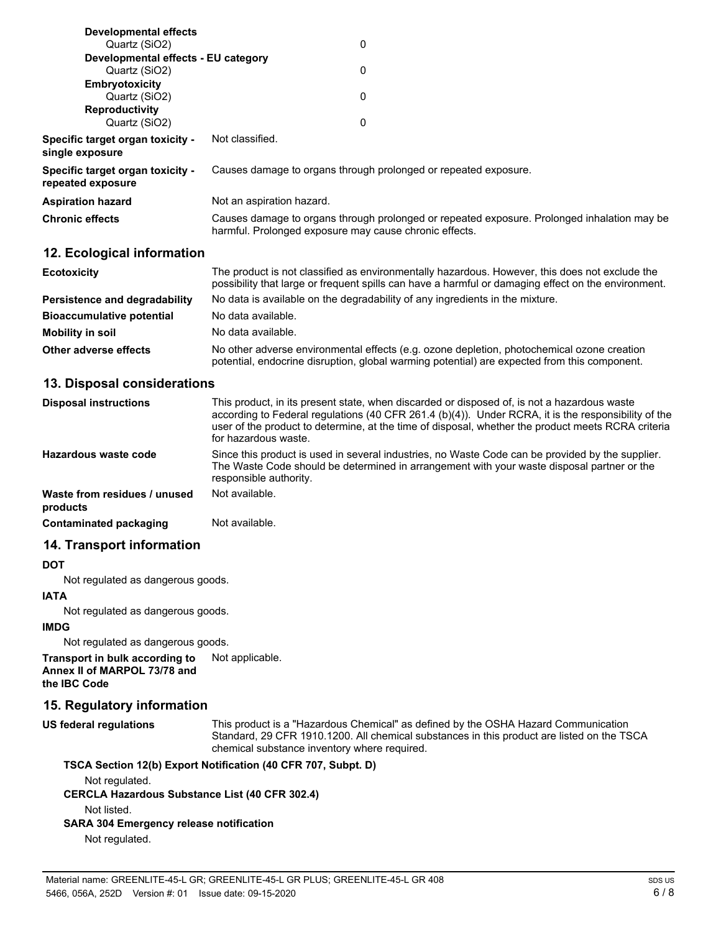| Developmental effects                                        |                                                                                                                                                       |  |
|--------------------------------------------------------------|-------------------------------------------------------------------------------------------------------------------------------------------------------|--|
| Quartz (SiO2)                                                | 0                                                                                                                                                     |  |
| Developmental effects - EU category                          |                                                                                                                                                       |  |
| Quartz (SiO2)                                                | 0                                                                                                                                                     |  |
| Embryotoxicity                                               |                                                                                                                                                       |  |
| Quartz (SiO2)                                                | 0                                                                                                                                                     |  |
| <b>Reproductivity</b>                                        |                                                                                                                                                       |  |
| Quartz (SiO2)                                                | 0                                                                                                                                                     |  |
| <b>Specific target organ toxicity -</b><br>single exposure   | Not classified.                                                                                                                                       |  |
| <b>Specific target organ toxicity -</b><br>repeated exposure | Causes damage to organs through prolonged or repeated exposure.                                                                                       |  |
| Aspiration hazard                                            | Not an aspiration hazard.                                                                                                                             |  |
| <b>Chronic effects</b>                                       | Causes damage to organs through prolonged or repeated exposure. Prolonged inhalation may be<br>harmful. Prolonged exposure may cause chronic effects. |  |
| 12. Ecological information                                   |                                                                                                                                                       |  |

| <b>Ecotoxicity</b>               | The product is not classified as environmentally hazardous. However, this does not exclude the<br>possibility that large or frequent spills can have a harmful or damaging effect on the environment. |  |
|----------------------------------|-------------------------------------------------------------------------------------------------------------------------------------------------------------------------------------------------------|--|
| Persistence and degradability    | No data is available on the degradability of any ingredients in the mixture.                                                                                                                          |  |
| <b>Bioaccumulative potential</b> | No data available.                                                                                                                                                                                    |  |
| Mobility in soil                 | No data available.                                                                                                                                                                                    |  |
| Other adverse effects            | No other adverse environmental effects (e.g. ozone depletion, photochemical ozone creation<br>potential, endocrine disruption, global warming potential) are expected from this component.            |  |

### **13. Disposal considerations**

| <b>Disposal instructions</b>             | This product, in its present state, when discarded or disposed of, is not a hazardous waste<br>according to Federal regulations (40 CFR 261.4 (b)(4)). Under RCRA, it is the responsibility of the<br>user of the product to determine, at the time of disposal, whether the product meets RCRA criteria<br>for hazardous waste. |
|------------------------------------------|----------------------------------------------------------------------------------------------------------------------------------------------------------------------------------------------------------------------------------------------------------------------------------------------------------------------------------|
| Hazardous waste code                     | Since this product is used in several industries, no Waste Code can be provided by the supplier.<br>The Waste Code should be determined in arrangement with your waste disposal partner or the<br>responsible authority.                                                                                                         |
| Waste from residues / unused<br>products | Not available.                                                                                                                                                                                                                                                                                                                   |
| Contaminated packaging                   | Not available.                                                                                                                                                                                                                                                                                                                   |

### **14. Transport information**

### **DOT**

Not regulated as dangerous goods.

### **IATA**

Not regulated as dangerous goods.

### **IMDG**

Not regulated as dangerous goods.

**Transport in bulk according to** Not applicable. **Annex II of MARPOL 73/78 and the IBC Code**

# **15. Regulatory information**

**US federal regulations**

This product is a "Hazardous Chemical" as defined by the OSHA Hazard Communication Standard, 29 CFR 1910.1200. All chemical substances in this product are listed on the TSCA chemical substance inventory where required.

# **TSCA Section 12(b) Export Notification (40 CFR 707, Subpt. D)**

Not regulated.

**CERCLA Hazardous Substance List (40 CFR 302.4)**

Not listed.

### **SARA 304 Emergency release notification**

Not regulated.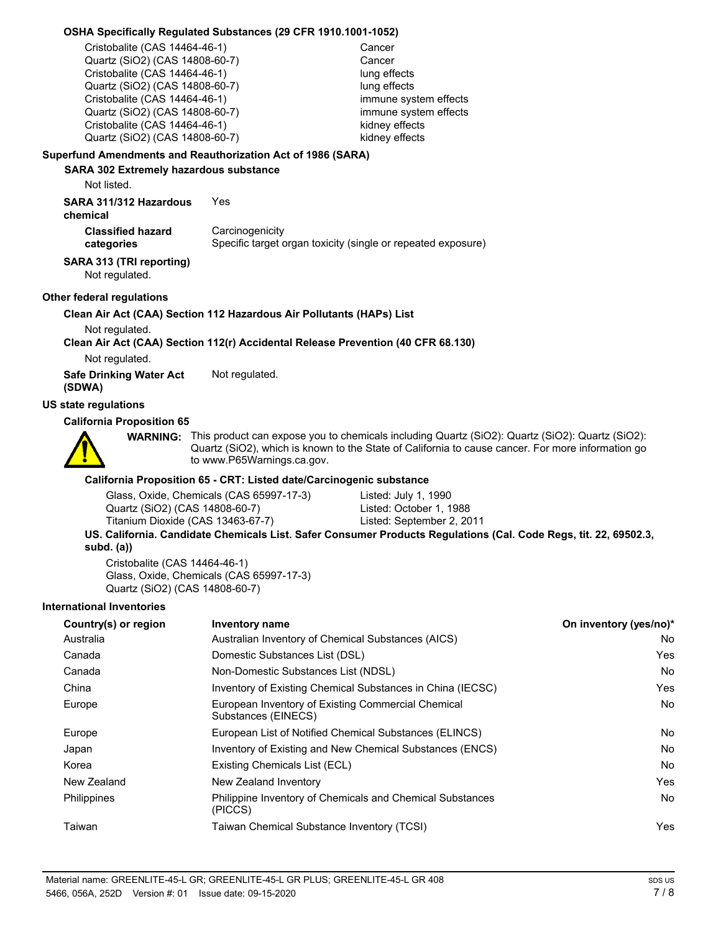### **OSHA Specifically Regulated Substances (29 CFR 1910.1001-1052)**

Cristobalite (CAS 14464-46-1) Cancer Quartz (SiO2) (CAS 14808-60-7) Cancer Cristobalite (CAS 14464-46-1) lung effects Quartz (SiO2) (CAS 14808-60-7) lung effects Cristobalite (CAS 14464-46-1) immune system effects Quartz (SiO2) (CAS 14808-60-7) immune system effects<br>Cristobalite (CAS 14464-46-1) in the system effects Cristobalite (CAS  $14464-46-1$ ) Quartz (SiO2) (CAS 14808-60-7) kidney effects

### **Superfund Amendments and Reauthorization Act of 1986 (SARA)**

### **SARA 302 Extremely hazardous substance**

Not listed.

**categories**

**SARA 311/312 Hazardous** Yes

### **chemical**

**Carcinogenicity** Specific target organ toxicity (single or repeated exposure) **Classified hazard**

### **SARA 313 (TRI reporting)**

Not regulated.

### **Other federal regulations**

### **Clean Air Act (CAA) Section 112 Hazardous Air Pollutants (HAPs) List**

Not regulated.

### **Clean Air Act (CAA) Section 112(r) Accidental Release Prevention (40 CFR 68.130)**

Not regulated.

**Safe Drinking Water Act** Not regulated. **(SDWA)**

# **US state regulations**

### **California Proposition 65**



**WARNING:** This product can expose you to chemicals including Quartz (SiO2): Quartz (SiO2): Quartz (SiO2): Quartz (SiO2), which is known to the State of California to cause cancer. For more information go to www.P65Warnings.ca.gov.

### **California Proposition 65 - CRT: Listed date/Carcinogenic substance**

| Quartz (SiO2) (CAS 14808-60-7)    | Listed: October 1, 1988                                                                                          |
|-----------------------------------|------------------------------------------------------------------------------------------------------------------|
| Titanium Dioxide (CAS 13463-67-7) | Listed: September 2, 2011                                                                                        |
|                                   | US. California. Candidate Chemicals List. Safer Consumer Products Regulations (Cal. Code Regs, tit. 22, 69502.3, |

### **subd. (a))**

Cristobalite (CAS 14464-46-1) Glass, Oxide, Chemicals (CAS 65997-17-3) Quartz (SiO2) (CAS 14808-60-7)

### **International Inventories**

| Country(s) or region | <b>Inventory name</b>                                                     | On inventory (yes/no)* |
|----------------------|---------------------------------------------------------------------------|------------------------|
| Australia            | Australian Inventory of Chemical Substances (AICS)                        | No                     |
| Canada               | Domestic Substances List (DSL)                                            | <b>Yes</b>             |
| Canada               | Non-Domestic Substances List (NDSL)                                       | No                     |
| China                | Inventory of Existing Chemical Substances in China (IECSC)                | Yes                    |
| Europe               | European Inventory of Existing Commercial Chemical<br>Substances (EINECS) | No                     |
| Europe               | European List of Notified Chemical Substances (ELINCS)                    | No.                    |
| Japan                | Inventory of Existing and New Chemical Substances (ENCS)                  | No.                    |
| Korea                | Existing Chemicals List (ECL)                                             | No.                    |
| New Zealand          | New Zealand Inventory                                                     | <b>Yes</b>             |
| <b>Philippines</b>   | Philippine Inventory of Chemicals and Chemical Substances<br>(PICCS)      | No                     |
| Taiwan               | Taiwan Chemical Substance Inventory (TCSI)                                | <b>Yes</b>             |